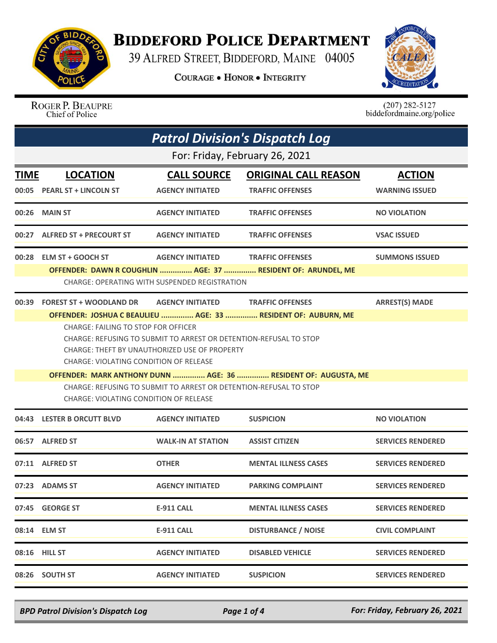

## **BIDDEFORD POLICE DEPARTMENT**

39 ALFRED STREET, BIDDEFORD, MAINE 04005

**COURAGE . HONOR . INTEGRITY** 



ROGER P. BEAUPRE Chief of Police

 $(207)$  282-5127<br>biddefordmaine.org/police

| <b>Patrol Division's Dispatch Log</b> |                                                                                                                    |                                                                   |                                                                |                          |  |
|---------------------------------------|--------------------------------------------------------------------------------------------------------------------|-------------------------------------------------------------------|----------------------------------------------------------------|--------------------------|--|
| For: Friday, February 26, 2021        |                                                                                                                    |                                                                   |                                                                |                          |  |
| TIME                                  | <b>LOCATION</b>                                                                                                    | <b>CALL SOURCE</b>                                                | <b>ORIGINAL CALL REASON</b>                                    | <b>ACTION</b>            |  |
|                                       | 00:05 PEARL ST + LINCOLN ST                                                                                        | <b>AGENCY INITIATED</b>                                           | <b>TRAFFIC OFFENSES</b>                                        | <b>WARNING ISSUED</b>    |  |
| 00:26                                 | <b>MAIN ST</b>                                                                                                     | <b>AGENCY INITIATED</b>                                           | <b>TRAFFIC OFFENSES</b>                                        | <b>NO VIOLATION</b>      |  |
| 00:27                                 | <b>ALFRED ST + PRECOURT ST</b>                                                                                     | <b>AGENCY INITIATED</b>                                           | <b>TRAFFIC OFFENSES</b>                                        | <b>VSAC ISSUED</b>       |  |
|                                       | 00:28 ELM ST + GOOCH ST                                                                                            | <b>AGENCY INITIATED</b>                                           | <b>TRAFFIC OFFENSES</b>                                        | <b>SUMMONS ISSUED</b>    |  |
|                                       |                                                                                                                    | CHARGE: OPERATING WITH SUSPENDED REGISTRATION                     | OFFENDER: DAWN R COUGHLIN  AGE: 37  RESIDENT OF: ARUNDEL, ME   |                          |  |
| 00:39                                 | <b>FOREST ST + WOODLAND DR          AGENCY INITIATED                TRAFFIC OFFENSES</b>                           |                                                                   |                                                                | <b>ARREST(S) MADE</b>    |  |
|                                       | <b>CHARGE: FAILING TO STOP FOR OFFICER</b>                                                                         |                                                                   | OFFENDER: JOSHUA C BEAULIEU  AGE: 33  RESIDENT OF: AUBURN, ME  |                          |  |
|                                       | CHARGE: REFUSING TO SUBMIT TO ARREST OR DETENTION-REFUSAL TO STOP<br>CHARGE: THEFT BY UNAUTHORIZED USE OF PROPERTY |                                                                   |                                                                |                          |  |
|                                       | <b>CHARGE: VIOLATING CONDITION OF RELEASE</b>                                                                      |                                                                   |                                                                |                          |  |
|                                       |                                                                                                                    |                                                                   | OFFENDER: MARK ANTHONY DUNN  AGE: 36  RESIDENT OF: AUGUSTA, ME |                          |  |
|                                       | CHARGE: VIOLATING CONDITION OF RELEASE                                                                             | CHARGE: REFUSING TO SUBMIT TO ARREST OR DETENTION-REFUSAL TO STOP |                                                                |                          |  |
|                                       | 04:43 LESTER B ORCUTT BLVD                                                                                         | <b>AGENCY INITIATED</b>                                           | <b>SUSPICION</b>                                               | <b>NO VIOLATION</b>      |  |
|                                       | 06:57 ALFRED ST                                                                                                    | <b>WALK-IN AT STATION</b>                                         | <b>ASSIST CITIZEN</b>                                          | <b>SERVICES RENDERED</b> |  |
|                                       | 07:11 ALFRED ST                                                                                                    | <b>OTHER</b>                                                      | <b>MENTAL ILLNESS CASES</b>                                    | <b>SERVICES RENDERED</b> |  |
|                                       | 07:23 ADAMS ST                                                                                                     | <b>AGENCY INITIATED</b>                                           | <b>PARKING COMPLAINT</b>                                       | <b>SERVICES RENDERED</b> |  |
|                                       | 07:45 GEORGE ST                                                                                                    | <b>E-911 CALL</b>                                                 | <b>MENTAL ILLNESS CASES</b>                                    | <b>SERVICES RENDERED</b> |  |
|                                       | 08:14 ELM ST                                                                                                       | <b>E-911 CALL</b>                                                 | <b>DISTURBANCE / NOISE</b>                                     | <b>CIVIL COMPLAINT</b>   |  |
|                                       | 08:16 HILL ST                                                                                                      | <b>AGENCY INITIATED</b>                                           | <b>DISABLED VEHICLE</b>                                        | <b>SERVICES RENDERED</b> |  |
|                                       | 08:26 SOUTH ST                                                                                                     | <b>AGENCY INITIATED</b>                                           | <b>SUSPICION</b>                                               | <b>SERVICES RENDERED</b> |  |

*BPD Patrol Division's Dispatch Log Page 1 of 4 For: Friday, February 26, 2021*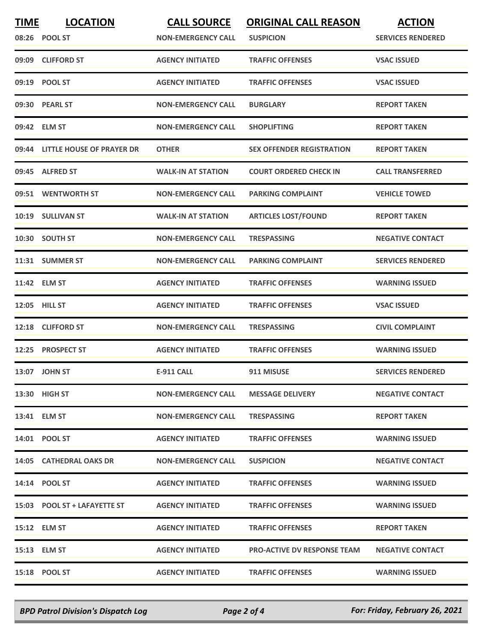| <b>TIME</b> | <b>LOCATION</b><br>08:26 POOL ST | <b>CALL SOURCE</b><br><b>NON-EMERGENCY CALL</b> | <b>ORIGINAL CALL REASON</b><br><b>SUSPICION</b> | <b>ACTION</b><br><b>SERVICES RENDERED</b> |
|-------------|----------------------------------|-------------------------------------------------|-------------------------------------------------|-------------------------------------------|
|             | 09:09 CLIFFORD ST                | <b>AGENCY INITIATED</b>                         | <b>TRAFFIC OFFENSES</b>                         | <b>VSAC ISSUED</b>                        |
|             | 09:19 POOL ST                    | <b>AGENCY INITIATED</b>                         | <b>TRAFFIC OFFENSES</b>                         | <b>VSAC ISSUED</b>                        |
|             | 09:30 PEARL ST                   | <b>NON-EMERGENCY CALL</b>                       | <b>BURGLARY</b>                                 | <b>REPORT TAKEN</b>                       |
|             | 09:42 ELM ST                     | <b>NON-EMERGENCY CALL</b>                       | <b>SHOPLIFTING</b>                              | <b>REPORT TAKEN</b>                       |
|             | 09:44 LITTLE HOUSE OF PRAYER DR  | <b>OTHER</b>                                    | <b>SEX OFFENDER REGISTRATION</b>                | <b>REPORT TAKEN</b>                       |
|             | 09:45 ALFRED ST                  | <b>WALK-IN AT STATION</b>                       | <b>COURT ORDERED CHECK IN</b>                   | <b>CALL TRANSFERRED</b>                   |
|             | 09:51 WENTWORTH ST               | <b>NON-EMERGENCY CALL</b>                       | <b>PARKING COMPLAINT</b>                        | <b>VEHICLE TOWED</b>                      |
|             | 10:19 SULLIVAN ST                | <b>WALK-IN AT STATION</b>                       | <b>ARTICLES LOST/FOUND</b>                      | <b>REPORT TAKEN</b>                       |
|             | 10:30 SOUTH ST                   | <b>NON-EMERGENCY CALL</b>                       | <b>TRESPASSING</b>                              | <b>NEGATIVE CONTACT</b>                   |
|             | 11:31 SUMMER ST                  | <b>NON-EMERGENCY CALL</b>                       | <b>PARKING COMPLAINT</b>                        | <b>SERVICES RENDERED</b>                  |
|             | 11:42 ELM ST                     | <b>AGENCY INITIATED</b>                         | <b>TRAFFIC OFFENSES</b>                         | <b>WARNING ISSUED</b>                     |
|             | 12:05 HILL ST                    | <b>AGENCY INITIATED</b>                         | <b>TRAFFIC OFFENSES</b>                         | <b>VSAC ISSUED</b>                        |
| 12:18       | <b>CLIFFORD ST</b>               | <b>NON-EMERGENCY CALL</b>                       | <b>TRESPASSING</b>                              | <b>CIVIL COMPLAINT</b>                    |
|             | 12:25 PROSPECT ST                | <b>AGENCY INITIATED</b>                         | <b>TRAFFIC OFFENSES</b>                         | <b>WARNING ISSUED</b>                     |
|             | 13:07 JOHN ST                    | <b>E-911 CALL</b>                               | 911 MISUSE                                      | <b>SERVICES RENDERED</b>                  |
|             | 13:30 HIGH ST                    | <b>NON-EMERGENCY CALL</b>                       | <b>MESSAGE DELIVERY</b>                         | <b>NEGATIVE CONTACT</b>                   |
|             | 13:41 ELM ST                     | <b>NON-EMERGENCY CALL</b>                       | <b>TRESPASSING</b>                              | <b>REPORT TAKEN</b>                       |
|             | 14:01 POOL ST                    | <b>AGENCY INITIATED</b>                         | <b>TRAFFIC OFFENSES</b>                         | <b>WARNING ISSUED</b>                     |
|             | 14:05 CATHEDRAL OAKS DR          | <b>NON-EMERGENCY CALL</b>                       | <b>SUSPICION</b>                                | <b>NEGATIVE CONTACT</b>                   |
|             | 14:14 POOL ST                    | <b>AGENCY INITIATED</b>                         | <b>TRAFFIC OFFENSES</b>                         | <b>WARNING ISSUED</b>                     |
|             | 15:03 POOL ST + LAFAYETTE ST     | <b>AGENCY INITIATED</b>                         | <b>TRAFFIC OFFENSES</b>                         | <b>WARNING ISSUED</b>                     |
|             | 15:12 ELM ST                     | <b>AGENCY INITIATED</b>                         | <b>TRAFFIC OFFENSES</b>                         | <b>REPORT TAKEN</b>                       |
|             | 15:13 ELM ST                     | <b>AGENCY INITIATED</b>                         | <b>PRO-ACTIVE DV RESPONSE TEAM</b>              | <b>NEGATIVE CONTACT</b>                   |
|             | 15:18 POOL ST                    | <b>AGENCY INITIATED</b>                         | <b>TRAFFIC OFFENSES</b>                         | <b>WARNING ISSUED</b>                     |

*BPD Patrol Division's Dispatch Log Page 2 of 4 For: Friday, February 26, 2021*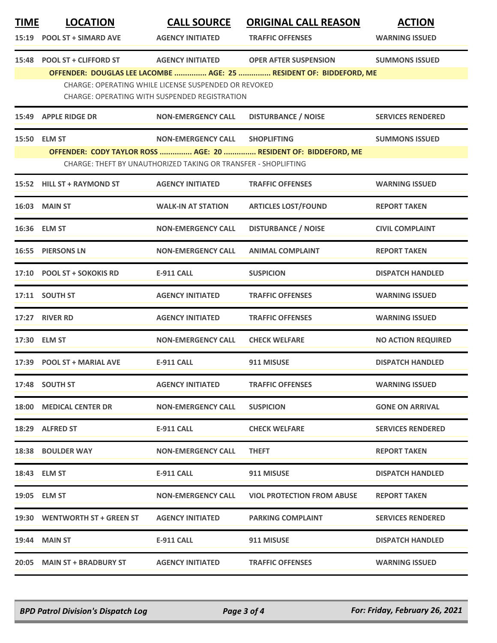| <b>TIME</b> | <b>LOCATION</b>                                                                                                     | <b>CALL SOURCE</b>                                             | <b>ORIGINAL CALL REASON</b>                                        | <b>ACTION</b>             |  |  |
|-------------|---------------------------------------------------------------------------------------------------------------------|----------------------------------------------------------------|--------------------------------------------------------------------|---------------------------|--|--|
| 15:19       | <b>POOL ST + SIMARD AVE</b>                                                                                         | <b>AGENCY INITIATED</b>                                        | <b>TRAFFIC OFFENSES</b>                                            | <b>WARNING ISSUED</b>     |  |  |
| 15:48       | <b>POOL ST + CLIFFORD ST</b>                                                                                        | <b>AGENCY INITIATED</b>                                        | <b>OPER AFTER SUSPENSION</b>                                       | <b>SUMMONS ISSUED</b>     |  |  |
|             |                                                                                                                     |                                                                | OFFENDER: DOUGLAS LEE LACOMBE  AGE: 25  RESIDENT OF: BIDDEFORD, ME |                           |  |  |
|             | <b>CHARGE: OPERATING WHILE LICENSE SUSPENDED OR REVOKED</b><br><b>CHARGE: OPERATING WITH SUSPENDED REGISTRATION</b> |                                                                |                                                                    |                           |  |  |
|             | 15:49 APPLE RIDGE DR                                                                                                | <b>NON-EMERGENCY CALL</b>                                      | <b>DISTURBANCE / NOISE</b>                                         | <b>SERVICES RENDERED</b>  |  |  |
|             | 15:50 ELM ST                                                                                                        | <b>NON-EMERGENCY CALL</b>                                      | <b>SHOPLIFTING</b>                                                 | <b>SUMMONS ISSUED</b>     |  |  |
|             |                                                                                                                     |                                                                | OFFENDER: CODY TAYLOR ROSS  AGE: 20  RESIDENT OF: BIDDEFORD, ME    |                           |  |  |
|             |                                                                                                                     | CHARGE: THEFT BY UNAUTHORIZED TAKING OR TRANSFER - SHOPLIFTING |                                                                    |                           |  |  |
|             | 15:52 HILL ST + RAYMOND ST                                                                                          | <b>AGENCY INITIATED</b>                                        | <b>TRAFFIC OFFENSES</b>                                            | <b>WARNING ISSUED</b>     |  |  |
|             | <b>16:03 MAIN ST</b>                                                                                                | <b>WALK-IN AT STATION</b>                                      | <b>ARTICLES LOST/FOUND</b>                                         | <b>REPORT TAKEN</b>       |  |  |
|             | 16:36 ELM ST                                                                                                        | <b>NON-EMERGENCY CALL</b>                                      | <b>DISTURBANCE / NOISE</b>                                         | <b>CIVIL COMPLAINT</b>    |  |  |
|             | <b>16:55 PIERSONS LN</b>                                                                                            | <b>NON-EMERGENCY CALL</b>                                      | <b>ANIMAL COMPLAINT</b>                                            | <b>REPORT TAKEN</b>       |  |  |
|             | 17:10 POOL ST + SOKOKIS RD                                                                                          | <b>E-911 CALL</b>                                              | <b>SUSPICION</b>                                                   | <b>DISPATCH HANDLED</b>   |  |  |
|             | 17:11 SOUTH ST                                                                                                      | <b>AGENCY INITIATED</b>                                        | <b>TRAFFIC OFFENSES</b>                                            | <b>WARNING ISSUED</b>     |  |  |
|             | 17:27 RIVER RD                                                                                                      | <b>AGENCY INITIATED</b>                                        | <b>TRAFFIC OFFENSES</b>                                            | <b>WARNING ISSUED</b>     |  |  |
|             | 17:30 ELM ST                                                                                                        | <b>NON-EMERGENCY CALL</b>                                      | <b>CHECK WELFARE</b>                                               | <b>NO ACTION REQUIRED</b> |  |  |
| 17:39       | <b>POOL ST + MARIAL AVE</b>                                                                                         | <b>E-911 CALL</b>                                              | 911 MISUSE                                                         | <b>DISPATCH HANDLED</b>   |  |  |
|             | 17:48 SOUTH ST                                                                                                      | <b>AGENCY INITIATED</b>                                        | <b>TRAFFIC OFFENSES</b>                                            | <b>WARNING ISSUED</b>     |  |  |
|             | 18:00 MEDICAL CENTER DR                                                                                             | <b>NON-EMERGENCY CALL</b>                                      | <b>SUSPICION</b>                                                   | <b>GONE ON ARRIVAL</b>    |  |  |
|             | 18:29 ALFRED ST                                                                                                     | E-911 CALL                                                     | <b>CHECK WELFARE</b>                                               | <b>SERVICES RENDERED</b>  |  |  |
|             | <b>18:38 BOULDER WAY</b>                                                                                            | <b>NON-EMERGENCY CALL</b>                                      | <b>THEFT</b>                                                       | <b>REPORT TAKEN</b>       |  |  |
|             | 18:43 ELM ST                                                                                                        | E-911 CALL                                                     | 911 MISUSE                                                         | <b>DISPATCH HANDLED</b>   |  |  |
|             | 19:05    ELM ST                                                                                                     | NON-EMERGENCY CALL                                             | <b>VIOL PROTECTION FROM ABUSE</b>                                  | <b>REPORT TAKEN</b>       |  |  |
|             | 19:30 WENTWORTH ST + GREEN ST                                                                                       | <b>AGENCY INITIATED</b>                                        | <b>PARKING COMPLAINT</b>                                           | <b>SERVICES RENDERED</b>  |  |  |
|             | <b>19:44 MAIN ST</b>                                                                                                | <b>E-911 CALL</b>                                              | 911 MISUSE                                                         | <b>DISPATCH HANDLED</b>   |  |  |
|             | 20:05 MAIN ST + BRADBURY ST                                                                                         | <b>AGENCY INITIATED</b>                                        | <b>TRAFFIC OFFENSES</b>                                            | <b>WARNING ISSUED</b>     |  |  |

*BPD Patrol Division's Dispatch Log Page 3 of 4 For: Friday, February 26, 2021*